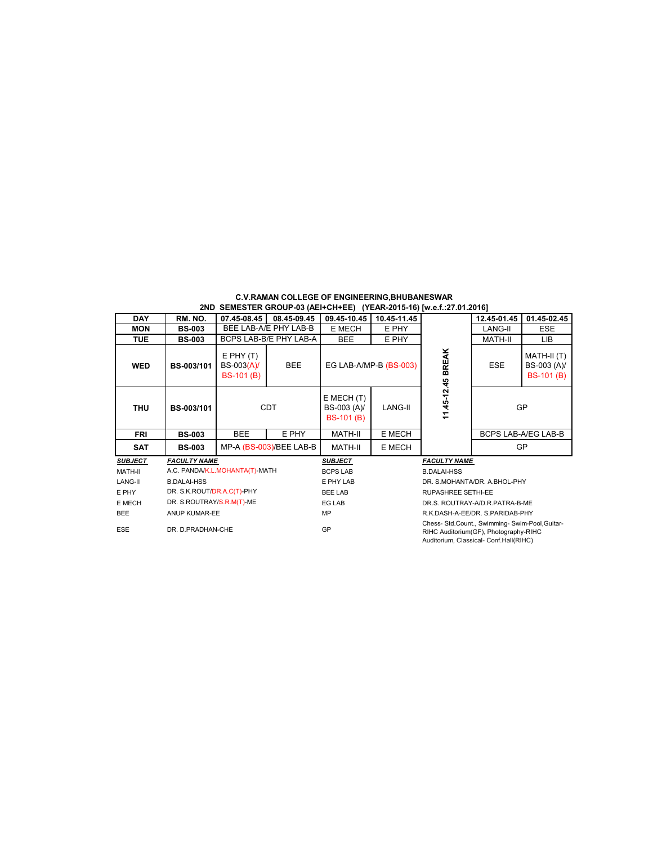| <b>C.V.RAMAN COLLEGE OF ENGINEERING BHUBANESWAR</b>                     |  |  |
|-------------------------------------------------------------------------|--|--|
| 2ND  SEMESTER GROUP-03 (AEI+CH+EE)   (YEAR-2015-16) [w.e.f.:27.01.2016] |  |  |

| <b>DAY</b>     | RM. NO.                    | 07.45-08.45                                      | 08.45-09.45             | 09.45-10.45                                        | 10.45-11.45                                                                                                                        |                                 | 12.45-01.45 | 01.45-02.45                                     |
|----------------|----------------------------|--------------------------------------------------|-------------------------|----------------------------------------------------|------------------------------------------------------------------------------------------------------------------------------------|---------------------------------|-------------|-------------------------------------------------|
| <b>MON</b>     | <b>BS-003</b>              |                                                  | BEE LAB-A/E PHY LAB-B   | E MECH                                             | E PHY                                                                                                                              |                                 | LANG-II     | <b>ESE</b>                                      |
| <b>TUE</b>     | <b>BS-003</b>              |                                                  | BCPS LAB-B/E PHY LAB-A  | BEE                                                | E PHY                                                                                                                              |                                 | MATH-II     | LIB                                             |
| <b>WED</b>     | BS-003/101                 | $E$ PHY $(T)$<br>BS-003(A)/<br><b>BS-101 (B)</b> | <b>BEE</b>              |                                                    | EG LAB-A/MP-B (BS-003)                                                                                                             | 11.45-12.45 BREAK               | <b>ESE</b>  | MATH-II (T)<br>BS-003 (A)/<br><b>BS-101 (B)</b> |
| <b>THU</b>     | BS-003/101                 |                                                  | <b>CDT</b>              | $E$ MECH $(T)$<br>BS-003 (A)/<br><b>BS-101 (B)</b> | LANG-II                                                                                                                            |                                 | GP          |                                                 |
| <b>FRI</b>     | <b>BS-003</b>              | <b>BEE</b>                                       | E PHY                   | E MECH<br>MATH-II                                  |                                                                                                                                    |                                 |             | <b>BCPS LAB-A/EG LAB-B</b>                      |
| <b>SAT</b>     | <b>BS-003</b>              |                                                  | MP-A (BS-003)/BEE LAB-B | MATH-II                                            | E MECH                                                                                                                             |                                 |             | GP                                              |
| <b>SUBJECT</b> | <b>FACULTY NAME</b>        |                                                  |                         | <b>SUBJECT</b>                                     |                                                                                                                                    | <b>FACULTY NAME</b>             |             |                                                 |
| MATH-II        |                            | A.C. PANDA/K.L.MOHANTA(T)-MATH                   |                         | <b>BCPS LAB</b>                                    |                                                                                                                                    | <b>B.DALAI-HSS</b>              |             |                                                 |
| LANG-II        | <b>B.DALAI-HSS</b>         |                                                  |                         | E PHY LAB                                          |                                                                                                                                    | DR. S.MOHANTA/DR. A.BHOL-PHY    |             |                                                 |
| E PHY          | DR. S.K.ROUT/DR.A.C(T)-PHY |                                                  |                         | <b>BEE LAB</b>                                     |                                                                                                                                    | <b>RUPASHREE SETHI-EE</b>       |             |                                                 |
| E MECH         | DR. S.ROUTRAY/S.R.M(T)-ME  |                                                  |                         | <b>EG LAB</b>                                      |                                                                                                                                    | DR.S. ROUTRAY-A/D.R.PATRA-B-ME  |             |                                                 |
| <b>BEE</b>     | ANUP KUMAR-EE              |                                                  |                         | <b>MP</b>                                          |                                                                                                                                    | R.K.DASH-A-EE/DR. S.PARIDAB-PHY |             |                                                 |
| <b>ESE</b>     | DR. D.PRADHAN-CHE          |                                                  |                         | GP                                                 | Chess- Std.Count., Swimming- Swim-Pool, Guitar-<br>RIHC Auditorium(GF), Photography-RIHC<br>Auditorium, Classical- Conf.Hall(RIHC) |                                 |             |                                                 |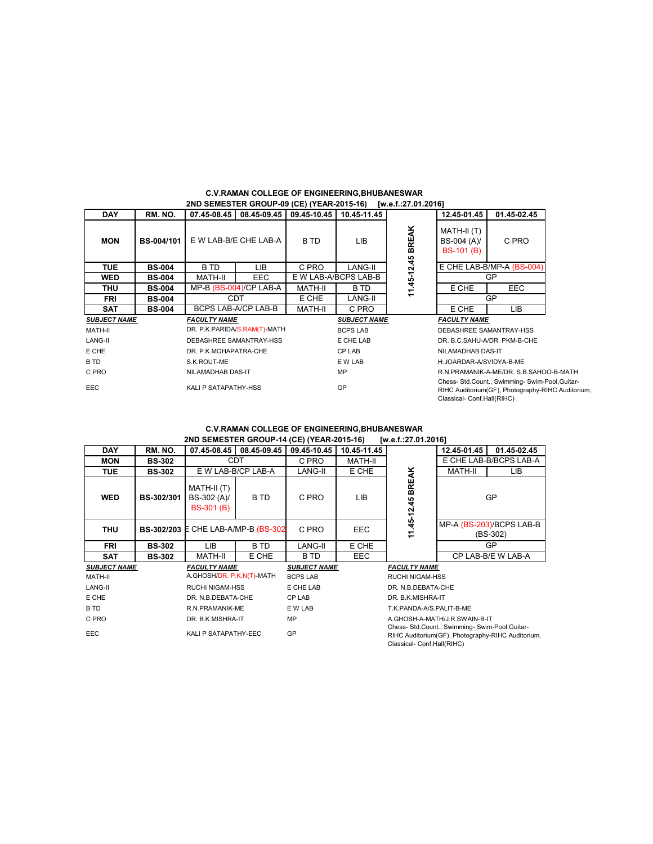|                     |               |                              |                          |             | ZND SEMESTER GROUP-09 (CE) (TEAR-Z013-10) W.G.IZI.UT.Z010] |               |                                                                                                                                    |             |  |
|---------------------|---------------|------------------------------|--------------------------|-------------|------------------------------------------------------------|---------------|------------------------------------------------------------------------------------------------------------------------------------|-------------|--|
| <b>DAY</b>          | RM. NO.       |                              | 07.45-08.45 08.45-09.45  | 09.45-10.45 | 10.45-11.45                                                |               | 12.45-01.45                                                                                                                        | 01.45-02.45 |  |
| <b>MON</b>          | BS-004/101    | E W LAB-B/E CHE LAB-A        |                          | B TD        | LIB                                                        | <b>BREAK</b>  | MATH-II (T)<br>BS-004 (A)/<br><b>BS-101 (B)</b>                                                                                    | C PRO       |  |
| <b>TUE</b>          | <b>BS-004</b> | B TD                         | LIB                      | C PRO       | LANG-II                                                    | 11.45-12.45   | E CHE LAB-B/MP-A (BS-004)                                                                                                          |             |  |
| <b>WED</b>          | <b>BS-004</b> | MATH-II                      | EEC.                     |             | E W LAB-A/BCPS LAB-B                                       |               |                                                                                                                                    | GP          |  |
| <b>THU</b>          | <b>BS-004</b> |                              | $MP-B$ (BS-004)/CP LAB-A | MATH-II     | B TD                                                       |               | E CHE<br>EEC.                                                                                                                      |             |  |
| <b>FRI</b>          | <b>BS-004</b> | <b>CDT</b>                   |                          | E CHE       | LANG-II                                                    |               |                                                                                                                                    | GP          |  |
| <b>SAT</b>          | <b>BS-004</b> |                              | BCPS LAB-A/CP LAB-B      | MATH-II     | C PRO                                                      | E CHE<br>LIB. |                                                                                                                                    |             |  |
| <b>SUBJECT NAME</b> |               | <b>FACULTY NAME</b>          |                          |             | <b>SUBJECT NAME</b>                                        |               | <b>FACULTY NAME</b>                                                                                                                |             |  |
| MATH-II             |               | DR. P.K.PARIDA/S.RAM(T)-MATH |                          |             | <b>BCPS LAB</b>                                            |               | DEBASHREE SAMANTRAY-HSS                                                                                                            |             |  |
| LANG-II             |               | DEBASHREE SAMANTRAY-HSS      |                          |             | E CHE LAB                                                  |               | DR. B.C.SAHU-A/DR. PKM-B-CHE                                                                                                       |             |  |
| E CHE               |               | DR. P.K.MOHAPATRA-CHE        |                          |             | CP LAB                                                     |               | NILAMADHAB DAS-IT                                                                                                                  |             |  |
| B TD                |               | S.K.ROUT-ME                  |                          |             | E W LAB                                                    |               | H.JOARDAR-A/SVIDYA-B-ME                                                                                                            |             |  |
| C PRO               |               | NILAMADHAB DAS-IT            |                          |             | MP                                                         |               | R.N.PRAMANIK-A-ME/DR. S.B.SAHOO-B-MATH                                                                                             |             |  |
| <b>EEC</b>          |               | KALI P SATAPATHY-HSS         |                          |             | GP                                                         |               | Chess- Std.Count., Swimming- Swim-Pool, Guitar-<br>RIHC Auditorium(GF), Photography-RIHC Auditorium,<br>Classical- Conf.Hall(RIHC) |             |  |

## **C.V.RAMAN COLLEGE OF ENGINEERING,BHUBANESWAR 2ND SEMESTER GROUP-09 (CE) (YEAR-2015-16) [w.e.f.:27.01.2016]**

### **C.V.RAMAN COLLEGE OF ENGINEERING,BHUBANESWAR 2ND SEMESTER GROUP-14 (CE) (YEAR-2015-16) [w.e.f.:27.01.2016]**

| <b>DAY</b>          | RM. NO.       | 07.45-08.45                                     | 08.45-09.45        | 09.45-10.45         | 10.45-11.45 |                                                                                                                                    | 12.45-01.45    | 01.45-02.45                            |
|---------------------|---------------|-------------------------------------------------|--------------------|---------------------|-------------|------------------------------------------------------------------------------------------------------------------------------------|----------------|----------------------------------------|
| <b>MON</b>          | <b>BS-302</b> | CDT                                             |                    | C PRO               | MATH-II     |                                                                                                                                    |                | E CHE LAB-B/BCPS LAB-A                 |
| TUE                 | <b>BS-302</b> |                                                 | E W LAB-B/CP LAB-A | LANG-II             | E CHE       |                                                                                                                                    | <b>MATH-II</b> | LIB.                                   |
| <b>WED</b>          | BS-302/301    | MATH-II (T)<br>BS-302 (A)/<br><b>BS-301 (B)</b> | B TD               | C PRO               | LIB         | BREAK<br>11.45-12.45                                                                                                               | GP             |                                        |
| <b>THU</b>          |               | <b>BS-302/203 E CHE LAB-A/MP-B (BS-302)</b>     |                    | C PRO               | EEC.        |                                                                                                                                    |                | MP-A (BS-203)/BCPS LAB-B<br>$(BS-302)$ |
| FRI                 | <b>BS-302</b> | LIB                                             | B TD               | LANG-II             | E CHE       |                                                                                                                                    |                | GP                                     |
| SAT                 | <b>BS-302</b> | MATH-II                                         | E CHE              | B TD                | EEC         |                                                                                                                                    |                | CP LAB-B/E W LAB-A                     |
| <b>SUBJECT NAME</b> |               | <b>FACULTY NAME</b>                             |                    | <b>SUBJECT NAME</b> |             | <b>FACULTY NAME</b>                                                                                                                |                |                                        |
| MATH-II             |               | A.GHOSH/DR. P.K.N(T)-MATH                       |                    | <b>BCPS LAB</b>     |             | <b>RUCHI NIGAM-HSS</b>                                                                                                             |                |                                        |
| LANG-II             |               | <b>RUCHI NIGAM-HSS</b>                          |                    | E CHE LAB           |             | DR. N.B.DEBATA-CHE                                                                                                                 |                |                                        |
| E CHE               |               | DR. N.B.DEBATA-CHE                              |                    | CP LAB              |             | DR. B.K.MISHRA-IT                                                                                                                  |                |                                        |
| B TD                |               | R.N.PRAMANIK-ME                                 |                    | E W LAB             |             | T.K.PANDA-A/S.PALIT-B-ME                                                                                                           |                |                                        |
| C PRO               |               | DR. B.K.MISHRA-IT                               |                    | MP                  |             | A.GHOSH-A-MATH/J.R.SWAIN-B-IT                                                                                                      |                |                                        |
| <b>EEC</b>          |               | KALI P SATAPATHY-EEC                            |                    | GP                  |             | Chess- Std.Count., Swimming- Swim-Pool, Guitar-<br>RIHC Auditorium(GF), Photography-RIHC Auditorium,<br>Classical- Conf.Hall(RIHC) |                |                                        |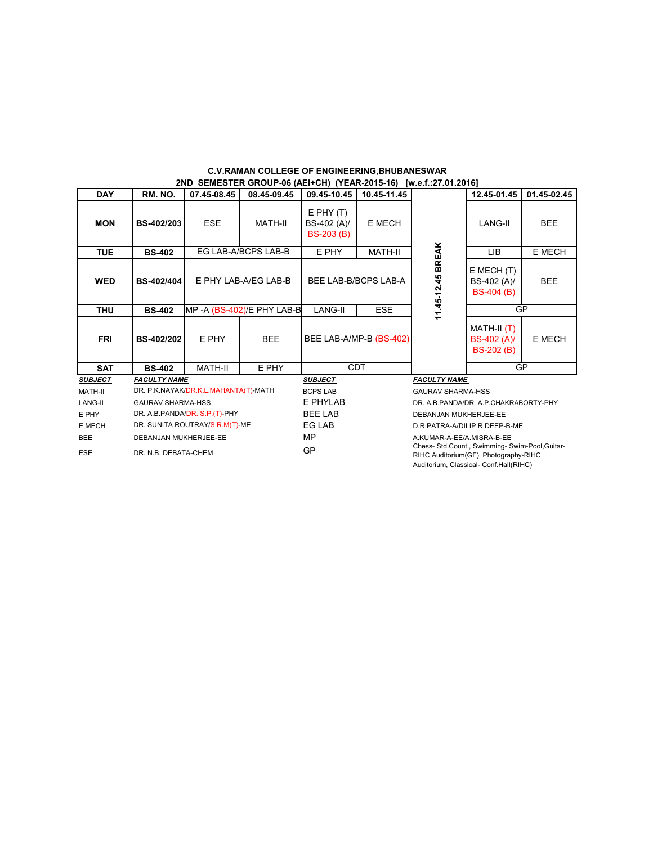| <b>DAY</b>     | RM. NO.                  | 07.45-08.45                          | 08.45-09.45               | 09.45-10.45                                                                                     | 10.45-11.45               |                                       | 12.45-01.45                                        | 01.45-02.45 |
|----------------|--------------------------|--------------------------------------|---------------------------|-------------------------------------------------------------------------------------------------|---------------------------|---------------------------------------|----------------------------------------------------|-------------|
| <b>MON</b>     | BS-402/203               | <b>ESE</b>                           | <b>MATH-II</b>            | $E$ PHY $(T)$<br>BS-402 (A)/<br><b>BS-203 (B)</b>                                               | E MECH                    |                                       | LANG-II                                            | <b>BEE</b>  |
| <b>TUE</b>     | <b>BS-402</b>            |                                      | EG LAB-A/BCPS LAB-B       | E PHY                                                                                           | <b>MATH-II</b>            |                                       | <b>LIB</b>                                         | E MECH      |
| <b>WED</b>     | BS-402/404               | E PHY LAB-A/EG LAB-B                 |                           | BEE LAB-B/BCPS LAB-A                                                                            |                           | 11.45-12.45 BREAK                     | $E$ MECH $(T)$<br>BS-402 (A)/<br><b>BS-404 (B)</b> | <b>BEE</b>  |
| <b>THU</b>     | <b>BS-402</b>            |                                      | MP-A (BS-402)/E PHY LAB-B | LANG-II<br><b>ESE</b>                                                                           |                           |                                       | GP                                                 |             |
| <b>FRI</b>     | BS-402/202               | E PHY                                | <b>BEE</b>                |                                                                                                 | BEE LAB-A/MP-B (BS-402)   |                                       | MATH-II (T)<br>BS-402 (A)/<br><b>BS-202 (B)</b>    | E MECH      |
| <b>SAT</b>     | <b>BS-402</b>            | <b>MATH-II</b>                       | E PHY                     |                                                                                                 | <b>CDT</b>                |                                       | GP                                                 |             |
| <b>SUBJECT</b> | <b>FACULTY NAME</b>      |                                      |                           | <b>SUBJECT</b>                                                                                  |                           | <b>FACULTY NAME</b>                   |                                                    |             |
| MATH-II        |                          | DR. P.K.NAYAK/DR.K.L.MAHANTA(T)-MATH |                           | <b>BCPS LAB</b>                                                                                 |                           | <b>GAURAV SHARMA-HSS</b>              |                                                    |             |
| LANG-II        | <b>GAURAV SHARMA-HSS</b> |                                      |                           | E PHYLAB                                                                                        |                           | DR. A.B.PANDA/DR. A.P.CHAKRABORTY-PHY |                                                    |             |
| E PHY          |                          | DR. A.B. PANDA/DR. S.P. (T)-PHY      |                           | <b>BEE LAB</b>                                                                                  |                           | DEBANJAN MUKHERJEE-EE                 |                                                    |             |
| E MECH         |                          | DR. SUNITA ROUTRAY/S.R.M(T)-ME       |                           | EG LAB                                                                                          |                           | D.R.PATRA-A/DILIP R DEEP-B-ME         |                                                    |             |
| <b>BEE</b>     | DEBANJAN MUKHERJEE-EE    |                                      |                           | <b>MP</b>                                                                                       | A.KUMAR-A-EE/A.MISRA-B-EE |                                       |                                                    |             |
| <b>ESE</b>     | DR. N.B. DEBATA-CHEM     |                                      |                           | Chess- Std.Count., Swimming- Swim-Pool, Guitar-<br>GP<br>RIHC Auditorium (GF), Photography-RIHC |                           |                                       |                                                    |             |

Auditorium, Classical- Conf.Hall(RIHC)

# **C.V.RAMAN COLLEGE OF ENGINEERING,BHUBANESWAR 2ND SEMESTER GROUP-06 (AEI+CH) (YEAR-2015-16) [w.e.f.:27.01.2016]**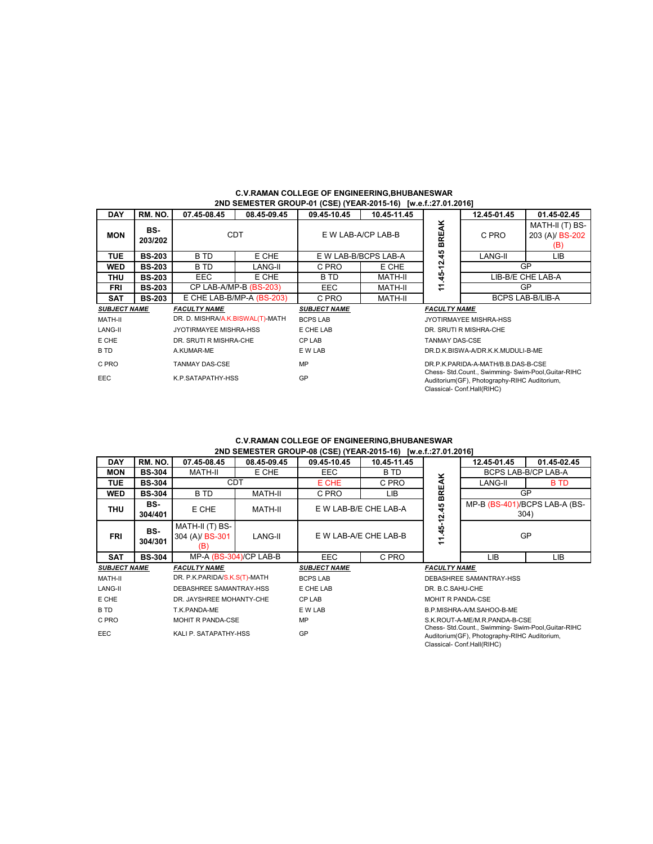| <b>DAY</b>          | RM. NO.        | 07.45-08.45                      | 08.45-09.45               | 09.45-10.45         | 10.45-11.45          |                                                                                           | 12.45-01.45                       | 01.45-02.45                               |
|---------------------|----------------|----------------------------------|---------------------------|---------------------|----------------------|-------------------------------------------------------------------------------------------|-----------------------------------|-------------------------------------------|
| <b>MON</b>          | BS-<br>203/202 |                                  | <b>CDT</b>                |                     | E W LAB-A/CP LAB-B   | <b>BREAK</b>                                                                              | C PRO                             | MATH-II (T) BS-<br>203 (A)/ BS-202<br>(B) |
| <b>TUE</b>          | <b>BS-203</b>  | B TD                             | E CHE                     |                     | E W LAB-B/BCPS LAB-A | 45                                                                                        | LANG-II<br>LIB                    |                                           |
| <b>WED</b>          | <b>BS-203</b>  | B TD                             | LANG-II                   | C PRO               | E CHE                | $.45 - 12.$                                                                               |                                   | GP                                        |
| <b>THU</b>          | <b>BS-203</b>  | <b>EEC</b>                       | E CHE                     | B TD                | <b>MATH-II</b>       |                                                                                           |                                   | LIB-B/E CHE LAB-A                         |
| <b>FRI</b>          | <b>BS-203</b>  |                                  | CP LAB-A/MP-B (BS-203)    | <b>EEC</b>          | MATH-II              | Ξ                                                                                         | <b>GP</b>                         |                                           |
| <b>SAT</b>          | <b>BS-203</b>  |                                  | E CHE LAB-B/MP-A (BS-203) | C PRO               | MATH-II              |                                                                                           | <b>BCPS LAB-B/LIB-A</b>           |                                           |
| <b>SUBJECT NAME</b> |                | <b>FACULTY NAME</b>              |                           | <b>SUBJECT NAME</b> |                      | <b>FACULTY NAME</b>                                                                       |                                   |                                           |
| MATH-II             |                | DR. D. MISHRA/A.K.BISWAL(T)-MATH |                           | <b>BCPS LAB</b>     |                      |                                                                                           | <b>JYOTIRMAYEE MISHRA-HSS</b>     |                                           |
| LANG-II             |                | JYOTIRMAYEE MISHRA-HSS           |                           | E CHE LAB           |                      |                                                                                           | DR. SRUTI R MISHRA-CHE            |                                           |
| E CHE               |                | DR. SRUTI R MISHRA-CHE           |                           | <b>CP LAB</b>       |                      | <b>TANMAY DAS-CSE</b>                                                                     |                                   |                                           |
| B TD                |                | A.KUMAR-ME                       |                           | E W LAB             |                      |                                                                                           | DR.D.K.BISWA-A/DR.K.K.MUDULI-B-ME |                                           |
| C PRO               |                | <b>TANMAY DAS-CSE</b>            |                           | MP                  |                      | DR.P.K.PARIDA-A-MATH/B.B.DAS-B-CSE<br>Chess- Std.Count., Swimming- Swim-Pool, Guitar-RIHC |                                   |                                           |
| EEC.                |                | K.P.SATAPATHY-HSS                |                           | GP                  |                      | Auditorium (GF), Photography-RIHC Auditorium,<br>Classical- Conf.Hall(RIHC)               |                                   |                                           |

# **C.V.RAMAN COLLEGE OF ENGINEERING,BHUBANESWAR 2ND SEMESTER GROUP-01 (CSE) (YEAR-2015-16) [w.e.f.:27.01.2016]**

# **2ND SEMESTER GROUP-08 (CSE) (YEAR-2015-16) [w.e.f.:27.01.2016] C.V.RAMAN COLLEGE OF ENGINEERING,BHUBANESWAR**

|                     | ZND SEMESTER GROUP-00 (CSE) (TEAR-Z013-10) [W.G.I.:Z7.01.Z010] |                                           |                        |                       |                       |                     |                                                                                                                                   |                                       |  |  |  |  |
|---------------------|----------------------------------------------------------------|-------------------------------------------|------------------------|-----------------------|-----------------------|---------------------|-----------------------------------------------------------------------------------------------------------------------------------|---------------------------------------|--|--|--|--|
| <b>DAY</b>          | RM. NO.                                                        | 07.45-08.45                               | 08.45-09.45            | 09.45-10.45           | 10.45-11.45           |                     | 12.45-01.45                                                                                                                       | 01.45-02.45                           |  |  |  |  |
| <b>MON</b>          | <b>BS-304</b>                                                  | MATH-II                                   | E CHE                  | EEC.                  | B TD                  |                     |                                                                                                                                   | BCPS LAB-B/CP LAB-A                   |  |  |  |  |
| <b>TUE</b>          | <b>BS-304</b>                                                  |                                           | CDT                    | E CHE                 | C PRO                 |                     | LANG-II                                                                                                                           | <b>B</b> TD                           |  |  |  |  |
| <b>WED</b>          | <b>BS-304</b>                                                  | B TD                                      | MATH-II                | C PRO                 | LIB.                  | <b>BREAK</b>        | GP                                                                                                                                |                                       |  |  |  |  |
| <b>THU</b>          | BS-<br>304/401                                                 | E CHE                                     | MATH-II                |                       | E W LAB-B/E CHE LAB-A |                     |                                                                                                                                   | MP-B (BS-401)/BCPS LAB-A (BS-<br>304) |  |  |  |  |
| <b>FRI</b>          | BS-<br>304/301                                                 | MATH-II (T) BS-<br>304 (A)/ BS-301<br>(B) | LANG-II                | E W LAB-A/E CHE LAB-B |                       | 11.45-12.45         | GP                                                                                                                                |                                       |  |  |  |  |
| <b>SAT</b>          | <b>BS-304</b>                                                  |                                           | MP-A (BS-304)/CP LAB-B | EEC.                  | C PRO                 |                     | LIB                                                                                                                               | LIB                                   |  |  |  |  |
| <b>SUBJECT NAME</b> |                                                                | <b>FACULTY NAME</b>                       |                        | <b>SUBJECT NAME</b>   |                       | <b>FACULTY NAME</b> |                                                                                                                                   |                                       |  |  |  |  |
| MATH-II             |                                                                | DR. P.K.PARIDA/S.K.S(T)-MATH              |                        | <b>BCPS LAB</b>       |                       |                     | DEBASHREE SAMANTRAY-HSS                                                                                                           |                                       |  |  |  |  |
| LANG-II             |                                                                | DEBASHREE SAMANTRAY-HSS                   |                        | E CHE LAB             |                       | DR. B.C.SAHU-CHE    |                                                                                                                                   |                                       |  |  |  |  |
| E CHE               |                                                                | DR. JAYSHREE MOHANTY-CHE                  |                        | CP LAB                |                       | MOHIT R PANDA-CSE   |                                                                                                                                   |                                       |  |  |  |  |
| B TD                |                                                                | T.K.PANDA-ME                              |                        | E W LAB               |                       |                     | B.P.MISHRA-A/M.SAHOO-B-ME                                                                                                         |                                       |  |  |  |  |
| C PRO               |                                                                | MOHIT R PANDA-CSE                         |                        | <b>MP</b>             |                       |                     | S.K.ROUT-A-ME/M.R.PANDA-B-CSE                                                                                                     |                                       |  |  |  |  |
| <b>EEC</b>          |                                                                | KALI P. SATAPATHY-HSS                     |                        | GP                    |                       |                     | Chess- Std.Count., Swimming- Swim-Pool, Guitar-RIHC<br>Auditorium(GF), Photography-RIHC Auditorium,<br>Classical- Conf.Hall(RIHC) |                                       |  |  |  |  |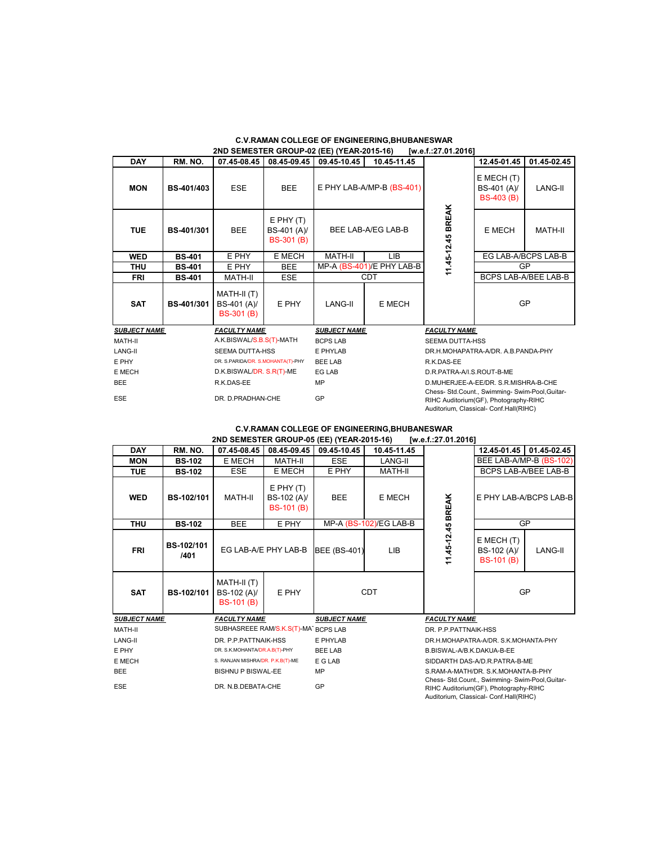# **C.V.RAMAN COLLEGE OF ENGINEERING,BHUBANESWAR 2ND SEMESTER GROUP-02 (EE) (YEAR-2015-16) [w.e.f.:27.01.2016]**

| <b>DAY</b>                                                                                                                                                                  | RM. NO.       | 07.45-08.45                                     | 08.45-09.45                                       | 09.45-10.45         | 10.45-11.45               |                                      | 12.45-01.45                                    | 01.45-02.45          |
|-----------------------------------------------------------------------------------------------------------------------------------------------------------------------------|---------------|-------------------------------------------------|---------------------------------------------------|---------------------|---------------------------|--------------------------------------|------------------------------------------------|----------------------|
| <b>MON</b>                                                                                                                                                                  | BS-401/403    | <b>ESE</b>                                      | <b>BEE</b>                                        |                     | E PHY LAB-A/MP-B (BS-401) |                                      | E MECH (T)<br>BS-401 (A)/<br><b>BS-403 (B)</b> | LANG-II              |
| <b>TUE</b>                                                                                                                                                                  | BS-401/301    | <b>BEE</b>                                      | $E$ PHY $(T)$<br>BS-401 (A)/<br><b>BS-301 (B)</b> |                     | BEE LAB-A/EG LAB-B        | <b>BREAK</b><br>11.45-12.45          | E MECH                                         | MATH-II              |
| <b>WED</b>                                                                                                                                                                  | <b>BS-401</b> | E PHY                                           | E MECH                                            | MATH-II             | LIB                       |                                      | EG LAB-A/BCPS LAB-B                            |                      |
| <b>THU</b>                                                                                                                                                                  | <b>BS-401</b> | E PHY                                           | <b>BEE</b>                                        |                     | MP-A (BS-401)/E PHY LAB-B |                                      |                                                | GP                   |
| <b>FRI</b>                                                                                                                                                                  | <b>BS-401</b> | MATH-II                                         | <b>ESE</b>                                        | <b>CDT</b>          |                           |                                      |                                                | BCPS LAB-A/BEE LAB-B |
| <b>SAT</b>                                                                                                                                                                  | BS-401/301    | MATH-II (T)<br>BS-401 (A)/<br><b>BS-301 (B)</b> | E PHY                                             | LANG-II             | E MECH                    |                                      | <b>GP</b>                                      |                      |
| <b>SUBJECT NAME</b>                                                                                                                                                         |               | <b>FACULTY NAME</b>                             |                                                   | <b>SUBJECT NAME</b> |                           | <b>FACULTY NAME</b>                  |                                                |                      |
| MATH-II                                                                                                                                                                     |               | A.K.BISWAL/S.B.S(T)-MATH                        |                                                   | <b>BCPS LAB</b>     |                           | SEEMA DUTTA-HSS                      |                                                |                      |
| LANG-II                                                                                                                                                                     |               | <b>SEEMA DUTTA-HSS</b>                          |                                                   | E PHYLAB            |                           | DR.H.MOHAPATRA-A/DR. A.B.PANDA-PHY   |                                                |                      |
| E PHY                                                                                                                                                                       |               | DR. S.PARIDA/DR. S.MOHANTA(T)-PHY               |                                                   | <b>BEE LAB</b>      |                           | R.K.DAS-EE                           |                                                |                      |
| E MECH                                                                                                                                                                      |               | D.K.BISWAL/DR. S.R(T)-ME                        |                                                   | <b>EG LAB</b>       |                           | D.R.PATRA-A/I.S.ROUT-B-ME            |                                                |                      |
| <b>BEE</b>                                                                                                                                                                  |               | R.K.DAS-EE                                      |                                                   | MP                  |                           | D.MUHERJEE-A-EE/DR. S.R.MISHRA-B-CHE |                                                |                      |
| Chess- Std.Count., Swimming- Swim-Pool, Guitar-<br>GP<br><b>ESE</b><br>DR. D.PRADHAN-CHE<br>RIHC Auditorium(GF), Photography-RIHC<br>Auditorium, Classical- Conf.Hall(RIHC) |               |                                                 |                                                   |                     |                           |                                      |                                                |                      |

# **2ND SEMESTER GROUP-05 (EE) (YEAR-2015-16) [w.e.f.:27.01.2016] C.V.RAMAN COLLEGE OF ENGINEERING,BHUBANESWAR**

|                     |                    | ZND SEMESTER GROUP TO (EE) (TEAR-Z013-10)       |                                                   |                     |                        | W.C.141.01.4010                                                                                                                    |                                                    |                             |
|---------------------|--------------------|-------------------------------------------------|---------------------------------------------------|---------------------|------------------------|------------------------------------------------------------------------------------------------------------------------------------|----------------------------------------------------|-----------------------------|
| <b>DAY</b>          | RM. NO.            | 07.45-08.45                                     | 08.45-09.45                                       | 09.45-10.45         | 10.45-11.45            |                                                                                                                                    |                                                    | 12.45-01.45 01.45-02.45     |
| <b>MON</b>          | <b>BS-102</b>      | E MECH                                          | <b>MATH-II</b>                                    | <b>ESE</b>          | <b>LANG-II</b>         |                                                                                                                                    |                                                    | BEE LAB-A/MP-B (BS-102)     |
| <b>TUE</b>          | <b>BS-102</b>      | <b>ESE</b>                                      | E MECH                                            | E PHY               | MATH-II                |                                                                                                                                    |                                                    | <b>BCPS LAB-A/BEE LAB-B</b> |
| <b>WED</b>          | <b>BS-102/101</b>  | MATH-II                                         | $E$ PHY $(T)$<br>BS-102 (A)/<br><b>BS-101 (B)</b> | <b>BEE</b>          | E MECH                 |                                                                                                                                    |                                                    | E PHY LAB-A/BCPS LAB-B      |
| <b>THU</b>          | <b>BS-102</b>      | <b>BEE</b>                                      | E PHY                                             |                     | MP-A (BS-102)/EG LAB-B | GP                                                                                                                                 |                                                    |                             |
| <b>FRI</b>          | BS-102/101<br>1401 | EG LAB-A/E PHY LAB-B                            |                                                   | <b>BEE (BS-401)</b> | <b>LIB</b>             | 11.45-12.45 BREAK                                                                                                                  | $E$ MECH $(T)$<br>BS-102 (A)/<br><b>BS-101 (B)</b> | LANG-II                     |
| <b>SAT</b>          | <b>BS-102/101</b>  | MATH-II (T)<br>BS-102 (A)/<br><b>BS-101 (B)</b> | E PHY                                             |                     | <b>CDT</b>             |                                                                                                                                    | GP                                                 |                             |
| <b>SUBJECT NAME</b> |                    | <b>FACULTY NAME</b>                             |                                                   | <b>SUBJECT NAME</b> |                        | <b>FACULTY NAME</b>                                                                                                                |                                                    |                             |
| MATH-II             |                    | SUBHASREEE RAM/S.K.S(T)-MAT BCPS LAB            |                                                   |                     |                        | DR. P.P.PATTNAIK-HSS                                                                                                               |                                                    |                             |
| LANG-II             |                    | DR. P.P.PATTNAIK-HSS                            |                                                   | E PHYLAB            |                        | DR.H.MOHAPATRA-A/DR. S.K.MOHANTA-PHY                                                                                               |                                                    |                             |
| E PHY               |                    | DR. S.K.MOHANTA/DR.A.B(T)-PHY                   |                                                   | <b>BEE LAB</b>      |                        | B.BISWAL-A/B.K.DAKUA-B-EE                                                                                                          |                                                    |                             |
| E MECH              |                    | S. RANJAN MISHRA/DR. P.K.B(T)-ME                |                                                   | E G LAB             |                        | SIDDARTH DAS-A/D.R.PATRA-B-ME                                                                                                      |                                                    |                             |
| <b>BEE</b>          |                    | <b>BISHNU P BISWAL-EE</b>                       |                                                   | MP                  |                        | S.RAM-A-MATH/DR. S.K.MOHANTA-B-PHY                                                                                                 |                                                    |                             |
| ESE                 |                    | DR. N.B.DEBATA-CHE                              |                                                   | GP                  |                        | Chess- Std.Count., Swimming- Swim-Pool, Guitar-<br>RIHC Auditorium(GF), Photography-RIHC<br>Auditorium, Classical- Conf.Hall(RIHC) |                                                    |                             |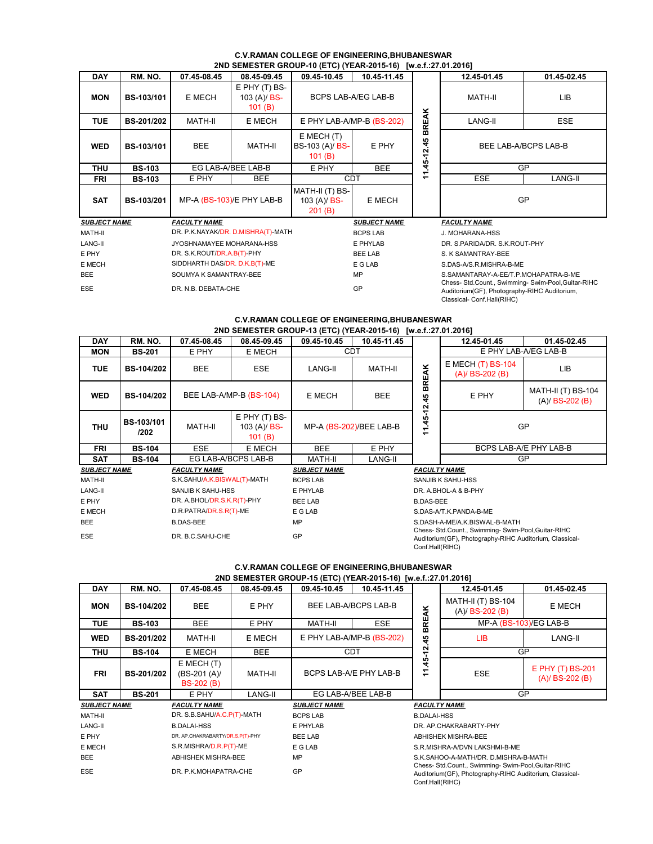# **C.V.RAMAN COLLEGE OF ENGINEERING,BHUBANESWAR**<br>2ND SEMESTER CROUD 40 (ETC) (YEAR 2045 46), by a 5.27 04.20451

|                     | 2ND SEMESTER GROUP-10 (ETC) (YEAR-2015-16) [w.e.f.:27.01.2016] |                                    |                                                       |                                             |                                                                                                                                         |              |                               |                      |  |  |  |  |
|---------------------|----------------------------------------------------------------|------------------------------------|-------------------------------------------------------|---------------------------------------------|-----------------------------------------------------------------------------------------------------------------------------------------|--------------|-------------------------------|----------------------|--|--|--|--|
| <b>DAY</b>          | RM. NO.                                                        | 07.45-08.45                        | 08.45-09.45                                           | 09.45-10.45                                 | 10.45-11.45                                                                                                                             |              | 12.45-01.45                   | 01.45-02.45          |  |  |  |  |
| <b>MON</b>          | <b>BS-103/101</b>                                              | E MECH                             | $E$ PHY $(T)$ BS-<br>103 (A)/ <b>BS-</b><br>101 $(B)$ | BCPS LAB-A/EG LAB-B                         |                                                                                                                                         |              | MATH-II                       | <b>LIB</b>           |  |  |  |  |
| <b>TUE</b>          | <b>BS-201/202</b>                                              | MATH-II                            | E MECH                                                | E PHY LAB-A/MP-B (BS-202)                   |                                                                                                                                         | <b>BREAK</b> | LANG-II                       | <b>ESE</b>           |  |  |  |  |
| <b>WED</b>          | <b>BS-103/101</b>                                              | <b>BEE</b>                         | MATH-II                                               | $E$ MECH $(T)$<br>BS-103 (A)/ BS-<br>101(B) | E PHY                                                                                                                                   | 45<br>N      |                               | BEE LAB-A/BCPS LAB-B |  |  |  |  |
| <b>THU</b>          | <b>BS-103</b>                                                  |                                    | EG LAB-A/BEE LAB-B                                    | E PHY                                       | $1.45 - 12$<br><b>BEE</b>                                                                                                               |              |                               | GP                   |  |  |  |  |
| <b>FRI</b>          | <b>BS-103</b>                                                  | E PHY                              | <b>BEE</b>                                            |                                             | <b>CDT</b><br><b>ESE</b>                                                                                                                |              | <b>LANG-II</b>                |                      |  |  |  |  |
| <b>SAT</b>          | <b>BS-103/201</b>                                              |                                    | MP-A (BS-103)/E PHY LAB-B                             | MATH-II (T) BS-<br>103 (A)/ $BS-$<br>201(B) | E MECH                                                                                                                                  |              | GP                            |                      |  |  |  |  |
| <b>SUBJECT NAME</b> |                                                                | <b>FACULTY NAME</b>                |                                                       |                                             | <b>SUBJECT NAME</b>                                                                                                                     |              | <b>FACULTY NAME</b>           |                      |  |  |  |  |
| MATH-II             |                                                                | DR. P.K.NAYAK/DR. D.MISHRA(T)-MATH |                                                       |                                             | <b>BCPS LAB</b>                                                                                                                         |              | J. MOHARANA-HSS               |                      |  |  |  |  |
| LANG-II             |                                                                | JYOSHNAMAYEE MOHARANA-HSS          |                                                       |                                             | E PHYLAB                                                                                                                                |              | DR. S.PARIDA/DR. S.K.ROUT-PHY |                      |  |  |  |  |
| E PHY               |                                                                | DR. S.K.ROUT/DR.A.B(T)-PHY         |                                                       |                                             | <b>BEE LAB</b>                                                                                                                          |              | S. K SAMANTRAY-BEE            |                      |  |  |  |  |
| E MECH              |                                                                | SIDDHARTH DAS/DR. D.K.B(T)-ME      |                                                       |                                             | E G LAB                                                                                                                                 |              | S.DAS-A/S.R.MISHRA-B-ME       |                      |  |  |  |  |
| <b>BEE</b>          |                                                                | SOUMYA K SAMANTRAY-BEE             |                                                       |                                             | MP<br>S.SAMANTARAY-A-EE/T.P.MOHAPATRA-B-ME                                                                                              |              |                               |                      |  |  |  |  |
| <b>ESE</b>          |                                                                | DR. N.B. DEBATA-CHE                |                                                       |                                             | Chess- Std.Count., Swimming- Swim-Pool, Guitar-RIHC<br>GP<br>Auditorium(GF), Photography-RIHC Auditorium,<br>Classical- Conf.Hall(RIHC) |              |                               |                      |  |  |  |  |

# **C.V.RAMAN COLLEGE OF ENGINEERING,BHUBANESWAR 2ND SEMESTER GROUP-13 (ETC) (YEAR-2015-16) [w.e.f.:27.01.2016]**

| <b>DAY</b>          | RM. NO.                   | 07.45-08.45                 | 08.45-09.45                                 | 09.45-10.45         | 10.45-11.45             |                                                             | 12.45-01.45                                  | 01.45-02.45                                                                                                    |  |
|---------------------|---------------------------|-----------------------------|---------------------------------------------|---------------------|-------------------------|-------------------------------------------------------------|----------------------------------------------|----------------------------------------------------------------------------------------------------------------|--|
| <b>MON</b>          | <b>BS-201</b>             | E PHY                       | E MECH                                      |                     | <b>CDT</b>              |                                                             |                                              | E PHY LAB-A/EG LAB-B                                                                                           |  |
| <b>TUE</b>          | <b>BS-104/202</b>         | <b>BEE</b>                  | <b>ESE</b>                                  | LANG-II             | MATH-II                 | ÅK                                                          | $E$ MECH $(T)$ BS-104<br>$(A)/$ BS-202 $(B)$ | LIB                                                                                                            |  |
| <b>WED</b>          | <b>BS-104/202</b>         |                             | BEE LAB-A/MP-B (BS-104)                     | E MECH              | <b>BEE</b>              | BRE<br>45<br>بة<br>ب                                        | E PHY                                        | <b>MATH-II (T) BS-104</b><br>$(A)/$ BS-202 $(B)$                                                               |  |
| <b>THU</b>          | <b>BS-103/101</b><br>/202 | <b>MATH-II</b>              | $E$ PHY $(T)$ BS-<br>103 (A)/ BS-<br>101(B) |                     | MP-A (BS-202)/BEE LAB-B | 45-<br>$\overline{\phantom{0}}$<br>$\overline{\phantom{0}}$ | <b>GP</b>                                    |                                                                                                                |  |
| <b>FRI</b>          | <b>BS-104</b>             | <b>ESE</b>                  | E MECH                                      | <b>BEE</b>          | E PHY                   |                                                             |                                              | BCPS LAB-A/E PHY LAB-B                                                                                         |  |
| <b>SAT</b>          | <b>BS-104</b>             |                             | EG LAB-A/BCPS LAB-B                         | MATH-II             | LANG-II                 |                                                             |                                              | <b>GP</b>                                                                                                      |  |
| <b>SUBJECT NAME</b> |                           | <b>FACULTY NAME</b>         |                                             | <b>SUBJECT NAME</b> |                         | <b>FACULTY NAME</b>                                         |                                              |                                                                                                                |  |
| MATH-II             |                           | S.K.SAHU/A.K.BISWAL(T)-MATH |                                             | <b>BCPS LAB</b>     |                         |                                                             | SANJIB K SAHU-HSS                            |                                                                                                                |  |
| <b>LANG-II</b>      |                           | SANJIB K SAHU-HSS           |                                             | E PHYLAB            |                         |                                                             | DR. A.BHOL-A & B-PHY                         |                                                                                                                |  |
| E PHY               |                           | DR. A.BHOL/DR.S.K.R(T)-PHY  |                                             | <b>BEE LAB</b>      |                         |                                                             | <b>B.DAS-BEE</b>                             |                                                                                                                |  |
| E MECH              |                           | D.R.PATRA/DR.S.R(T)-ME      |                                             | E G LAB             |                         | S.DAS-A/T.K.PANDA-B-ME                                      |                                              |                                                                                                                |  |
| <b>BEE</b>          |                           | <b>B.DAS-BEE</b>            |                                             | MP                  |                         | S.DASH-A-ME/A.K.BISWAL-B-MATH                               |                                              |                                                                                                                |  |
| <b>ESE</b>          |                           | DR. B.C.SAHU-CHE            |                                             | GP                  | Conf.Hall(RIHC)         |                                                             |                                              | Chess- Std.Count., Swimming- Swim-Pool, Guitar-RIHC<br>Auditorium(GF), Photography-RIHC Auditorium, Classical- |  |

# **C.V.RAMAN COLLEGE OF ENGINEERING,BHUBANESWAR 2ND SEMESTER GROUP-15 (ETC) (YEAR-2015-16) [w.e.f.:27.01.2016]**

| <b>DAY</b>          | RM. NO.           | 07.45-08.45                                          | 08.45-09.45 | 09.45-10.45               | 10.45-11.45        |                                                                                             | 12.45-01.45                                                | 01.45-02.45                             |
|---------------------|-------------------|------------------------------------------------------|-------------|---------------------------|--------------------|---------------------------------------------------------------------------------------------|------------------------------------------------------------|-----------------------------------------|
| <b>MON</b>          | <b>BS-104/202</b> | <b>BEE</b>                                           | E PHY       | BEE LAB-A/BCPS LAB-B      |                    | <b>BREAK</b>                                                                                | <b>MATH-II (T) BS-104</b><br>E MECH<br>$(A)/$ BS-202 $(B)$ |                                         |
| <b>TUE</b>          | <b>BS-103</b>     | <b>BEE</b>                                           | E PHY       | <b>ESE</b><br>MATH-II     |                    |                                                                                             |                                                            | MP-A $(BS-103)/EG$ LAB-B                |
| <b>WED</b>          | <b>BS-201/202</b> | <b>MATH-II</b>                                       | E MECH      | E PHY LAB-A/MP-B (BS-202) |                    | 45                                                                                          | LIB.                                                       | LANG-II                                 |
| <b>THU</b>          | <b>BS-104</b>     | E MECH                                               | <b>BEE</b>  |                           | <b>CDT</b>         | Ν<br>ᡪ                                                                                      |                                                            | GP                                      |
| <b>FRI</b>          | <b>BS-201/202</b> | $E$ MECH $(T)$<br>$(BS-201(A))$<br><b>BS-202 (B)</b> | MATH-II     | BCPS LAB-A/E PHY LAB-B    |                    | 45<br>Ξ                                                                                     | ESE                                                        | E PHY (T) BS-201<br>$(A)/$ BS-202 $(B)$ |
| <b>SAT</b>          | <b>BS-201</b>     | E PHY                                                | LANG-II     |                           | EG LAB-A/BEE LAB-B |                                                                                             |                                                            | <b>GP</b>                               |
| <b>SUBJECT NAME</b> |                   | <b>FACULTY NAME</b>                                  |             | <b>SUBJECT NAME</b>       |                    | <b>FACULTY NAME</b>                                                                         |                                                            |                                         |
| MATH-II             |                   | DR. S.B.SAHU/A.C.P(T)-MATH                           |             | <b>BCPS LAB</b>           |                    | <b>B.DALAI-HSS</b>                                                                          |                                                            |                                         |
| <b>LANG-II</b>      |                   | <b>B.DALAI-HSS</b>                                   |             | E PHYLAB                  |                    |                                                                                             | DR. AP.CHAKRABARTY-PHY                                     |                                         |
| E PHY               |                   | DR. AP.CHAKRABARTY/DR.S.P(T)-PHY                     |             | <b>BEE LAB</b>            |                    |                                                                                             | <b>ABHISHEK MISHRA-BEE</b>                                 |                                         |
| E MECH              |                   | S.R.MISHRA/D.R.P(T)-ME                               |             | E G LAB                   |                    | S.R.MISHRA-A/DVN LAKSHMI-B-ME                                                               |                                                            |                                         |
| <b>BEE</b>          |                   | ABHISHEK MISHRA-BEE                                  |             | MP                        |                    | S.K.SAHOO-A-MATH/DR. D.MISHRA-B-MATH<br>Chess- Std.Count., Swimming- Swim-Pool, Guitar-RIHC |                                                            |                                         |
| <b>ESE</b>          |                   | DR. P.K.MOHAPATRA-CHE                                |             | GP                        |                    | Conf.Hall(RIHC)                                                                             | Auditorium(GF), Photography-RIHC Auditorium, Classical-    |                                         |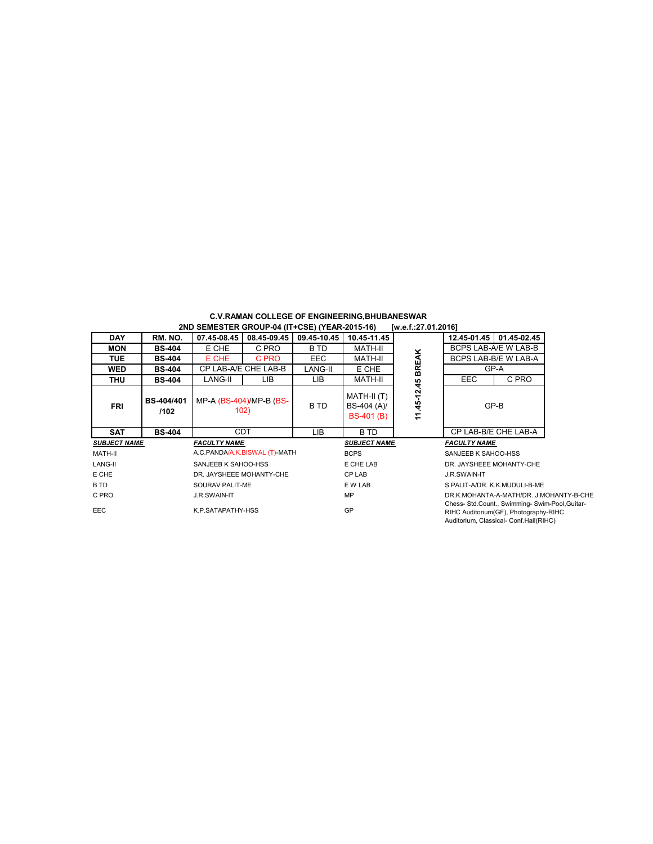| <b>C.V.RAMAN COLLEGE OF ENGINEERING, BHUBANESWAR</b> |  |                     |  |
|------------------------------------------------------|--|---------------------|--|
| 2ND SEMESTER GROUP-04 (IT+CSE) (YEAR-2015-16)        |  | [w.e.f.:27.01.2016] |  |

|                     |                           | $\blacksquare$           |                                 |             |                                                 |               |                                         |                                                                                                                                    |  |
|---------------------|---------------------------|--------------------------|---------------------------------|-------------|-------------------------------------------------|---------------|-----------------------------------------|------------------------------------------------------------------------------------------------------------------------------------|--|
| <b>DAY</b>          | RM. NO.                   | 07.45-08.45              | 08.45-09.45                     | 09.45-10.45 | 10.45-11.45                                     |               |                                         | 12.45-01.45 01.45-02.45                                                                                                            |  |
| <b>MON</b>          | <b>BS-404</b>             | E CHE                    | C PRO                           | B TD        | MATH-II                                         |               |                                         | BCPS LAB-A/E W LAB-B                                                                                                               |  |
| <b>TUE</b>          | <b>BS-404</b>             | E CHE                    | C PRO                           | <b>EEC</b>  | MATH-II                                         |               |                                         | BCPS LAB-B/E W LAB-A                                                                                                               |  |
| WED                 | <b>BS-404</b>             |                          | CP LAB-A/E CHE LAB-B            | LANG-II     | E CHE                                           | <b>BREAK</b>  |                                         | GP-A                                                                                                                               |  |
| <b>THU</b>          | <b>BS-404</b>             | LANG-II                  | LIB.                            | LIB.        | MATH-II                                         |               | <b>EEC</b>                              | C PRO                                                                                                                              |  |
| <b>FRI</b>          | <b>BS-404/401</b><br>/102 |                          | MP-A (BS-404)/MP-B (BS-<br>102) | B TD        | MATH-II (T)<br>BS-404 (A)/<br><b>BS-401 (B)</b> | 45-12.45<br>Ξ |                                         | GP-B                                                                                                                               |  |
| <b>SAT</b>          | <b>BS-404</b>             |                          | <b>CDT</b>                      | LIB.        | B TD                                            |               |                                         | CP LAB-B/E CHE LAB-A                                                                                                               |  |
| <b>SUBJECT NAME</b> |                           | <b>FACULTY NAME</b>      |                                 |             | <b>SUBJECT NAME</b>                             |               | <b>FACULTY NAME</b>                     |                                                                                                                                    |  |
| MATH-II             |                           |                          | A.C.PANDA/A.K.BISWAL (T)-MATH   |             | <b>BCPS</b>                                     |               | SANJEEB K SAHOO-HSS                     |                                                                                                                                    |  |
| LANG-II             |                           | SANJEEB K SAHOO-HSS      |                                 |             | E CHE LAB                                       |               | DR. JAYSHEEE MOHANTY-CHE                |                                                                                                                                    |  |
| E CHE               |                           | DR. JAYSHEEE MOHANTY-CHE |                                 |             | CP LAB                                          |               | J.R.SWAIN-IT                            |                                                                                                                                    |  |
| B TD                |                           | SOURAV PALIT-ME          |                                 |             | E W LAB                                         |               | S PALIT-A/DR. K.K.MUDULI-B-ME           |                                                                                                                                    |  |
| C PRO               |                           | J.R.SWAIN-IT             |                                 |             | MP                                              |               | DR.K.MOHANTA-A-MATH/DR. J.MOHANTY-B-CHE |                                                                                                                                    |  |
| EEC.                |                           | K.P.SATAPATHY-HSS        |                                 |             | GP                                              |               |                                         | Chess- Std.Count., Swimming- Swim-Pool, Guitar-<br>RIHC Auditorium(GF), Photography-RIHC<br>Auditorium, Classical- Conf.Hall(RIHC) |  |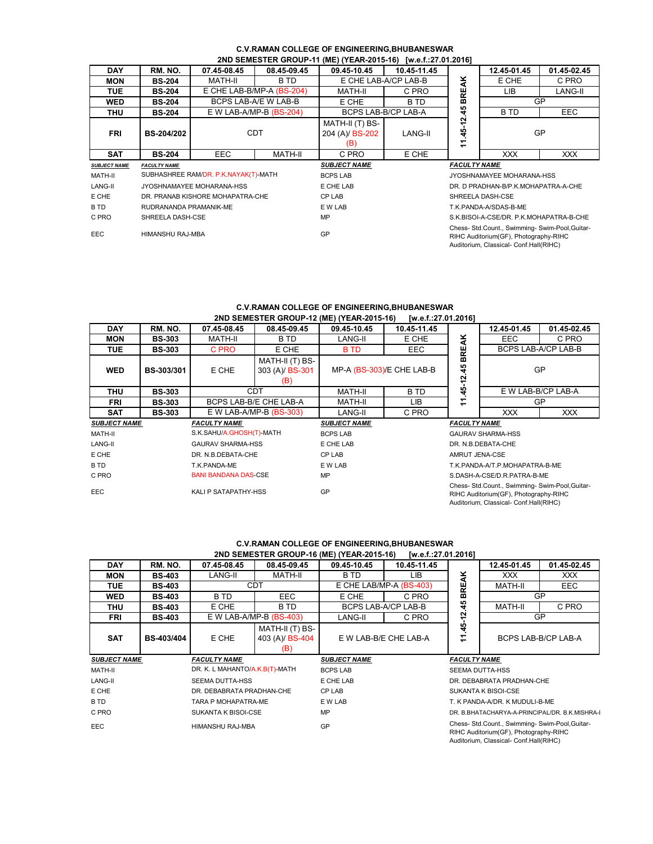# **C.V.RAMAN COLLEGE OF ENGINEERING,BHUBANESWAR 2ND SEMESTER GROUP-11 (ME) (YEAR-2015-16) [w.e.f.:27.01.2016]**

| <b>DAY</b>                                      | RM. NO.                | 07.45-08.45                      | 08.45-09.45                                                                                                                              | 09.45-10.45                               | 10.45-11.45          |                                                                 | 12.45-01.45 | 01.45-02.45 |
|-------------------------------------------------|------------------------|----------------------------------|------------------------------------------------------------------------------------------------------------------------------------------|-------------------------------------------|----------------------|-----------------------------------------------------------------|-------------|-------------|
| <b>MON</b>                                      | <b>BS-204</b>          | MATH-II                          | B TD                                                                                                                                     |                                           | E CHE LAB-A/CP LAB-B |                                                                 | E CHE       | C PRO       |
|                                                 |                        |                                  |                                                                                                                                          |                                           |                      |                                                                 |             |             |
| <b>TUE</b>                                      | <b>BS-204</b>          |                                  | E CHE LAB-B/MP-A $(BS-204)$                                                                                                              | MATH-II                                   | C PRO                | <b>BREAK</b>                                                    | LIB         | LANG-II     |
| WED                                             | <b>BS-204</b>          |                                  | BCPS LAB-A/E W LAB-B                                                                                                                     | E CHE                                     | B TD                 |                                                                 | GP          |             |
| <b>THU</b>                                      | <b>BS-204</b>          |                                  | E W LAB-A/MP-B $(BS-204)$                                                                                                                | BCPS LAB-B/CP LAB-A                       |                      | 45                                                              | <b>BTD</b>  | EEC         |
| <b>FRI</b>                                      | BS-204/202             | <b>CDT</b>                       |                                                                                                                                          | MATH-II (T) BS-<br>204 (A)/ BS-202<br>(B) | LANG-II              | ี<br>45<br>$\overline{\phantom{0}}$<br>$\overline{\phantom{0}}$ | GP          |             |
| <b>SAT</b>                                      | <b>BS-204</b>          | <b>EEC</b>                       | MATH-II                                                                                                                                  | C PRO                                     | E CHE                |                                                                 | <b>XXX</b>  | <b>XXX</b>  |
| <b>SUBJECT NAME</b><br><b>FACULTY NAME</b>      |                        |                                  | <b>SUBJECT NAME</b>                                                                                                                      | <b>FACULTY NAME</b>                       |                      |                                                                 |             |             |
| SUBHASHREE RAM/DR. P.K.NAYAK(T)-MATH<br>MATH-II |                        | <b>BCPS LAB</b>                  |                                                                                                                                          | JYOSHNAMAYEE MOHARANA-HSS                 |                      |                                                                 |             |             |
| LANG-II                                         |                        | JYOSHNAMAYEE MOHARANA-HSS        |                                                                                                                                          | E CHE LAB                                 |                      | DR. D PRADHAN-B/P.K.MOHAPATRA-A-CHE                             |             |             |
| E CHE                                           |                        | DR. PRANAB KISHORE MOHAPATRA-CHE |                                                                                                                                          | CP LAB                                    |                      | SHREELA DASH-CSE                                                |             |             |
| B TD                                            | RUDRANANDA PRAMANIK-ME |                                  |                                                                                                                                          | E W LAB                                   |                      | T.K.PANDA-A/SDAS-B-ME                                           |             |             |
| C PRO                                           | SHREELA DASH-CSE       |                                  |                                                                                                                                          | MP                                        |                      | S.K.BISOI-A-CSE/DR. P.K.MOHAPATRA-B-CHE                         |             |             |
| <b>EEC</b><br>HIMANSHU RAJ-MBA                  |                        |                                  | Chess- Std.Count., Swimming- Swim-Pool, Guitar-<br>GP<br>RIHC Auditorium(GF), Photography-RIHC<br>Auditorium, Classical- Conf.Hall(RIHC) |                                           |                      |                                                                 |             |             |

### **C.V.RAMAN COLLEGE OF ENGINEERING,BHUBANESWAR 2ND SEMESTER GROUP-12 (ME) (YEAR-2015-16) [w.e.f.:27.01.2016]**

|                                            |               |                             |                                           | ZND SEMESTER GROUP-IZ (ME) (TEAR-ZUTS-TO) | 10, 6, 1, 2, 1, 0, 1, 20, 101 |                               |                                                                                                                                    |             |  |
|--------------------------------------------|---------------|-----------------------------|-------------------------------------------|-------------------------------------------|-------------------------------|-------------------------------|------------------------------------------------------------------------------------------------------------------------------------|-------------|--|
| <b>DAY</b>                                 | RM. NO.       | 07.45-08.45                 | 08.45-09.45                               | 09.45-10.45                               | 10.45-11.45                   |                               | 12.45-01.45                                                                                                                        | 01.45-02.45 |  |
| <b>MON</b>                                 | <b>BS-303</b> | MATH-II                     | B TD                                      | LANG-II                                   | E CHE                         | ¥                             | <b>EEC</b>                                                                                                                         | C PRO       |  |
| <b>TUE</b>                                 | <b>BS-303</b> | C PRO                       | E CHE                                     | <b>BTD</b>                                | EEC.                          | 끭                             | BCPS LAB-A/CP LAB-B                                                                                                                |             |  |
| <b>WED</b>                                 | BS-303/301    | E CHE                       | MATH-II (T) BS-<br>303 (A)/ BS-301<br>(B) |                                           | MP-A (BS-303)/E CHE LAB-B     | ⋒<br>មុ<br><u>يا</u>          | GP                                                                                                                                 |             |  |
| THU                                        | <b>BS-303</b> |                             | CDT                                       | MATH-II                                   | B TD                          | 45                            | E W LAB-B/CP LAB-A                                                                                                                 |             |  |
| FRI                                        | <b>BS-303</b> |                             | BCPS LAB-B/E CHE LAB-A                    | MATH-II                                   | LIB                           | ↽<br>$\overline{\phantom{0}}$ | GP                                                                                                                                 |             |  |
| <b>SAT</b>                                 | <b>BS-303</b> |                             | $E$ W LAB-A/MP-B (BS-303)                 | LANG-II                                   | C PRO                         |                               | <b>XXX</b>                                                                                                                         | XXX.        |  |
| <b>SUBJECT NAME</b><br><b>FACULTY NAME</b> |               |                             |                                           | <b>SUBJECT NAME</b>                       | <b>FACULTY NAME</b>           |                               |                                                                                                                                    |             |  |
| MATH-II                                    |               | S.K.SAHU/A.GHOSH(T)-MATH    |                                           | <b>BCPS LAB</b>                           |                               |                               | <b>GAURAV SHARMA-HSS</b>                                                                                                           |             |  |
| LANG-II                                    |               | <b>GAURAV SHARMA-HSS</b>    |                                           | E CHE LAB                                 |                               |                               | DR. N.B.DEBATA-CHE                                                                                                                 |             |  |
| E CHE                                      |               | DR. N.B.DEBATA-CHE          |                                           | CP LAB                                    |                               | AMRUT JENA-CSE                |                                                                                                                                    |             |  |
| B TD<br>T.K.PANDA-ME                       |               | E W LAB                     |                                           | T.K.PANDA-A/T.P.MOHAPATRA-B-ME            |                               |                               |                                                                                                                                    |             |  |
| C PRO                                      |               | <b>BANI BANDANA DAS-CSE</b> |                                           | MP                                        |                               |                               | S.DASH-A-CSE/D.R.PATRA-B-ME                                                                                                        |             |  |
| EEC                                        |               | KALI P SATAPATHY-HSS        |                                           | GP                                        |                               |                               | Chess- Std.Count., Swimming- Swim-Pool, Guitar-<br>RIHC Auditorium(GF), Photography-RIHC<br>Auditorium, Classical- Conf.Hall(RIHC) |             |  |

# **C.V.RAMAN COLLEGE OF ENGINEERING,BHUBANESWAR 2ND SEMESTER GROUP-16 (ME) (YEAR-2015-16) [w.e.f.:27.01.2016]**

| <b>DAY</b>          | RM. NO.             | 07.45-08.45                    | 08.45-09.45                               | 09.45-10.45                                                                                     | 10.45-11.45 |                                                | 12.45-01.45                  | 01.45-02.45 |
|---------------------|---------------------|--------------------------------|-------------------------------------------|-------------------------------------------------------------------------------------------------|-------------|------------------------------------------------|------------------------------|-------------|
| <b>MON</b>          | <b>BS-403</b>       | LANG-II                        | MATH-II                                   | B TD                                                                                            | LІВ         | <b>REAK</b>                                    | <b>XXX</b>                   | XXX         |
| <b>TUE</b>          | <b>BS-403</b>       | <b>CDT</b>                     |                                           | E CHE LAB/MP-A (BS-403)                                                                         |             |                                                | <b>MATH-II</b><br><b>EEC</b> |             |
| <b>WED</b>          | <b>BS-403</b>       | B TD                           | EEC.                                      | E CHE<br>C PRO                                                                                  |             | ᆱ                                              | GP                           |             |
| THU                 | <b>BS-403</b>       | E CHE                          | B TD                                      | BCPS LAB-A/CP LAB-B                                                                             |             | 45                                             | MATH-II                      | C PRO       |
| FRI                 | <b>BS-403</b>       |                                | E W LAB-A/MP-B $(BS-403)$                 | LANG-II<br>C PRO                                                                                |             | ี<br>ᡕ                                         | <b>GP</b>                    |             |
| <b>SAT</b>          | <b>BS-403/404</b>   | E CHE                          | MATH-II (T) BS-<br>403 (A)/ BS-404<br>(B) | E W LAB-B/E CHE LAB-A                                                                           |             | 45<br>Ξ                                        | BCPS LAB-B/CP LAB-A          |             |
| <b>SUBJECT NAME</b> | <b>FACULTY NAME</b> |                                |                                           | <b>SUBJECT NAME</b>                                                                             |             | <b>FACULTY NAME</b>                            |                              |             |
| MATH-II             |                     | DR. K. L MAHANTO/A.K.B(T)-MATH |                                           | <b>BCPS LAB</b>                                                                                 |             | <b>SEEMA DUTTA-HSS</b>                         |                              |             |
| LANG-II             |                     | <b>SEEMA DUTTA-HSS</b>         |                                           | E CHE LAB                                                                                       |             | DR. DEBABRATA PRADHAN-CHE                      |                              |             |
| E CHE               |                     | DR. DEBABRATA PRADHAN-CHE      |                                           | CP LAB<br><b>SUKANTA K BISOI-CSE</b>                                                            |             |                                                |                              |             |
| B TD                |                     | TARA P MOHAPATRA-ME            |                                           | E W LAB<br>T. K PANDA-A/DR. K MUDULI-B-ME                                                       |             |                                                |                              |             |
| C PRO               |                     | SUKANTA K BISOI-CSE            |                                           | MP                                                                                              |             | DR. B.BHATACHARYA-A-PRINCIPAL/DR. B.K.MISHRA-I |                              |             |
| <b>EEC</b>          |                     | HIMANSHU RAJ-MBA               |                                           | Chess- Std.Count., Swimming- Swim-Pool, Guitar-<br>GP<br>RIHC Auditorium (GF), Photography-RIHC |             |                                                |                              |             |

RIHC Auditorium(GF), Photography-RIHC Auditorium, Classical- Conf.Hall(RIHC)